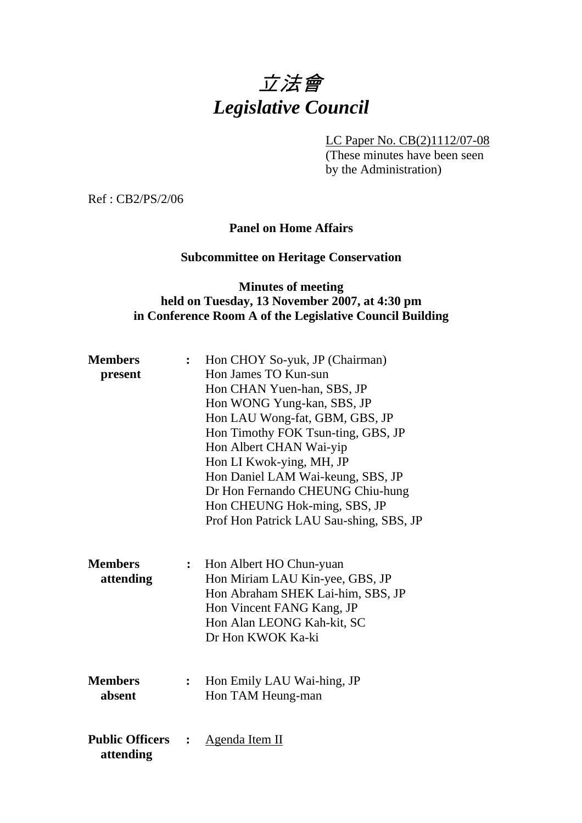# 立法會 *Legislative Council*

LC Paper No. CB(2)1112/07-08

(These minutes have been seen by the Administration)

Ref : CB2/PS/2/06

## **Panel on Home Affairs**

#### **Subcommittee on Heritage Conservation**

## **Minutes of meeting held on Tuesday, 13 November 2007, at 4:30 pm in Conference Room A of the Legislative Council Building**

| <b>Members</b>                      | $\ddot{\cdot}$ | Hon CHOY So-yuk, JP (Chairman)                                                                                                                                                  |
|-------------------------------------|----------------|---------------------------------------------------------------------------------------------------------------------------------------------------------------------------------|
| present                             |                | Hon James TO Kun-sun                                                                                                                                                            |
|                                     |                | Hon CHAN Yuen-han, SBS, JP                                                                                                                                                      |
|                                     |                | Hon WONG Yung-kan, SBS, JP                                                                                                                                                      |
|                                     |                | Hon LAU Wong-fat, GBM, GBS, JP                                                                                                                                                  |
|                                     |                | Hon Timothy FOK Tsun-ting, GBS, JP                                                                                                                                              |
|                                     |                | Hon Albert CHAN Wai-yip                                                                                                                                                         |
|                                     |                | Hon LI Kwok-ying, MH, JP                                                                                                                                                        |
|                                     |                | Hon Daniel LAM Wai-keung, SBS, JP                                                                                                                                               |
|                                     |                | Dr Hon Fernando CHEUNG Chiu-hung                                                                                                                                                |
|                                     |                | Hon CHEUNG Hok-ming, SBS, JP                                                                                                                                                    |
|                                     |                | Prof Hon Patrick LAU Sau-shing, SBS, JP                                                                                                                                         |
| <b>Members</b><br>attending         | $\ddot{\cdot}$ | Hon Albert HO Chun-yuan<br>Hon Miriam LAU Kin-yee, GBS, JP<br>Hon Abraham SHEK Lai-him, SBS, JP<br>Hon Vincent FANG Kang, JP<br>Hon Alan LEONG Kah-kit, SC<br>Dr Hon KWOK Ka-ki |
| <b>Members</b><br>absent            | $\ddot{\cdot}$ | Hon Emily LAU Wai-hing, JP<br>Hon TAM Heung-man                                                                                                                                 |
| <b>Public Officers</b><br>attending |                | <u>Agenda Item II</u>                                                                                                                                                           |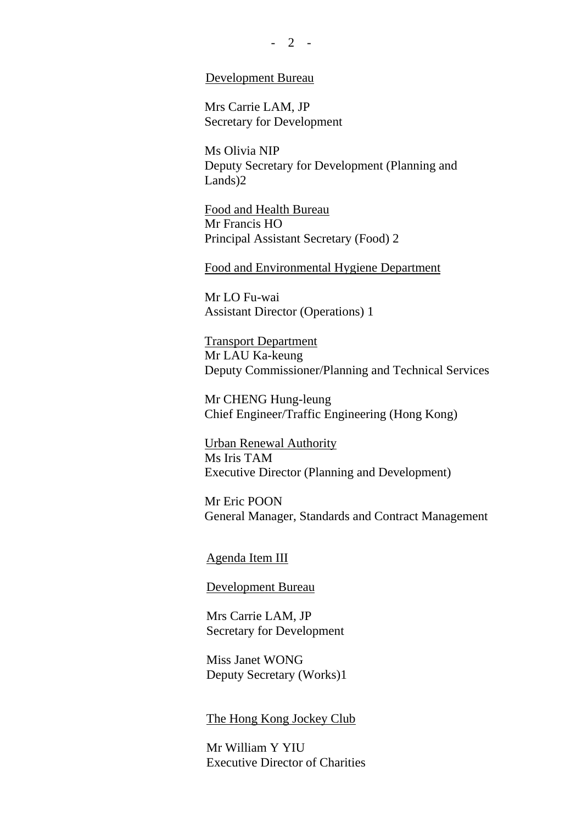#### Development Bureau

Mrs Carrie LAM, JP Secretary for Development

Ms Olivia NIP Deputy Secretary for Development (Planning and Lands)2

Food and Health Bureau Mr Francis HO Principal Assistant Secretary (Food) 2

Food and Environmental Hygiene Department

Mr LO Fu-wai Assistant Director (Operations) 1

Transport Department Mr LAU Ka-keung Deputy Commissioner/Planning and Technical Services

Mr CHENG Hung-leung Chief Engineer/Traffic Engineering (Hong Kong)

Urban Renewal Authority Ms Iris TAM Executive Director (Planning and Development)

Mr Eric POON General Manager, Standards and Contract Management

Agenda Item III

#### Development Bureau

Mrs Carrie LAM, JP Secretary for Development

Miss Janet WONG Deputy Secretary (Works)1

The Hong Kong Jockey Club

Mr William Y YIU Executive Director of Charities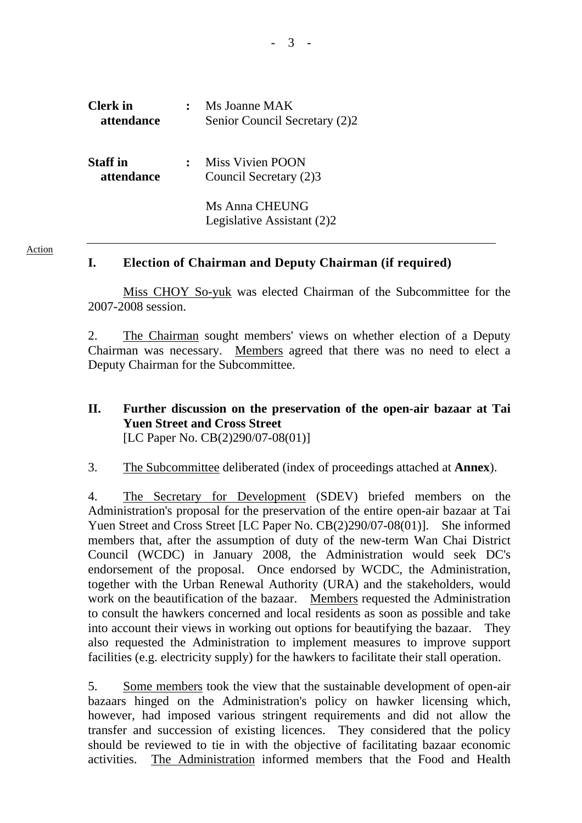| <b>Clerk</b> in<br>attendance | Ms Joanne MAK<br>Senior Council Secretary (2)2    |
|-------------------------------|---------------------------------------------------|
| <b>Staff</b> in<br>attendance | <b>Miss Vivien POON</b><br>Council Secretary (2)3 |
|                               | Ms Anna CHEUNG<br>Legislative Assistant (2)2      |

#### Action

#### **I. Election of Chairman and Deputy Chairman (if required)**

Miss CHOY So-yuk was elected Chairman of the Subcommittee for the 2007-2008 session.

2. The Chairman sought members' views on whether election of a Deputy Chairman was necessary. Members agreed that there was no need to elect a Deputy Chairman for the Subcommittee.

**II. Further discussion on the preservation of the open-air bazaar at Tai Yuen Street and Cross Street**  [LC Paper No. CB(2)290/07-08(01)]

3. The Subcommittee deliberated (index of proceedings attached at **Annex**).

4. The Secretary for Development (SDEV) briefed members on the Administration's proposal for the preservation of the entire open-air bazaar at Tai Yuen Street and Cross Street [LC Paper No. CB(2)290/07-08(01)]. She informed members that, after the assumption of duty of the new-term Wan Chai District Council (WCDC) in January 2008, the Administration would seek DC's endorsement of the proposal. Once endorsed by WCDC, the Administration, together with the Urban Renewal Authority (URA) and the stakeholders, would work on the beautification of the bazaar. Members requested the Administration to consult the hawkers concerned and local residents as soon as possible and take into account their views in working out options for beautifying the bazaar. They also requested the Administration to implement measures to improve support facilities (e.g. electricity supply) for the hawkers to facilitate their stall operation.

5. Some members took the view that the sustainable development of open-air bazaars hinged on the Administration's policy on hawker licensing which, however, had imposed various stringent requirements and did not allow the transfer and succession of existing licences. They considered that the policy should be reviewed to tie in with the objective of facilitating bazaar economic activities. The Administration informed members that the Food and Health

- 3 -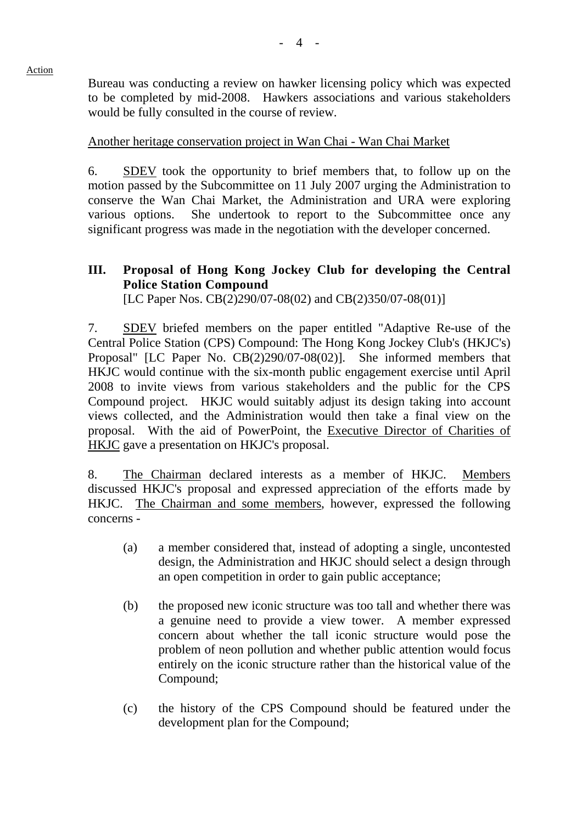Bureau was conducting a review on hawker licensing policy which was expected to be completed by mid-2008. Hawkers associations and various stakeholders would be fully consulted in the course of review.

Another heritage conservation project in Wan Chai - Wan Chai Market

6. SDEV took the opportunity to brief members that, to follow up on the motion passed by the Subcommittee on 11 July 2007 urging the Administration to conserve the Wan Chai Market, the Administration and URA were exploring various options. She undertook to report to the Subcommittee once any significant progress was made in the negotiation with the developer concerned.

## **III. Proposal of Hong Kong Jockey Club for developing the Central Police Station Compound**

[LC Paper Nos. CB(2)290/07-08(02) and CB(2)350/07-08(01)]

7. SDEV briefed members on the paper entitled "Adaptive Re-use of the Central Police Station (CPS) Compound: The Hong Kong Jockey Club's (HKJC's) Proposal" [LC Paper No. CB(2)290/07-08(02)]. She informed members that HKJC would continue with the six-month public engagement exercise until April 2008 to invite views from various stakeholders and the public for the CPS Compound project. HKJC would suitably adjust its design taking into account views collected, and the Administration would then take a final view on the proposal. With the aid of PowerPoint, the Executive Director of Charities of HKJC gave a presentation on HKJC's proposal.

8. The Chairman declared interests as a member of HKJC. Members discussed HKJC's proposal and expressed appreciation of the efforts made by HKJC. The Chairman and some members, however, expressed the following concerns -

- (a) a member considered that, instead of adopting a single, uncontested design, the Administration and HKJC should select a design through an open competition in order to gain public acceptance;
- (b) the proposed new iconic structure was too tall and whether there was a genuine need to provide a view tower. A member expressed concern about whether the tall iconic structure would pose the problem of neon pollution and whether public attention would focus entirely on the iconic structure rather than the historical value of the Compound;
- (c) the history of the CPS Compound should be featured under the development plan for the Compound;

#### Action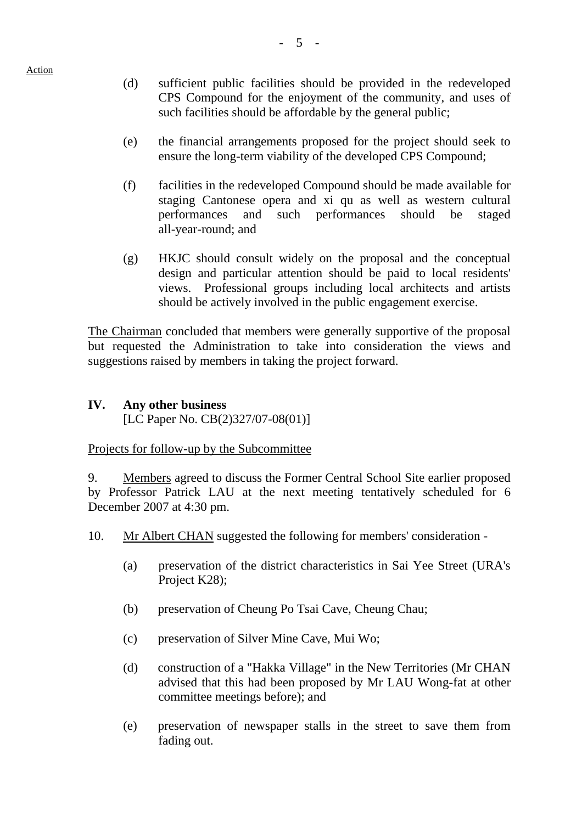Action

- (d) sufficient public facilities should be provided in the redeveloped CPS Compound for the enjoyment of the community, and uses of such facilities should be affordable by the general public;
- (e) the financial arrangements proposed for the project should seek to ensure the long-term viability of the developed CPS Compound;
- (f) facilities in the redeveloped Compound should be made available for staging Cantonese opera and xi qu as well as western cultural performances and such performances should be staged all-year-round; and
- (g) HKJC should consult widely on the proposal and the conceptual design and particular attention should be paid to local residents' views. Professional groups including local architects and artists should be actively involved in the public engagement exercise.

The Chairman concluded that members were generally supportive of the proposal but requested the Administration to take into consideration the views and suggestions raised by members in taking the project forward.

#### **IV. Any other business**  [LC Paper No. CB(2)327/07-08(01)]

#### Projects for follow-up by the Subcommittee

9. Members agreed to discuss the Former Central School Site earlier proposed by Professor Patrick LAU at the next meeting tentatively scheduled for 6 December 2007 at 4:30 pm.

- 10. Mr Albert CHAN suggested the following for members' consideration
	- (a) preservation of the district characteristics in Sai Yee Street (URA's Project K28);
	- (b) preservation of Cheung Po Tsai Cave, Cheung Chau;
	- (c) preservation of Silver Mine Cave, Mui Wo;
	- (d) construction of a "Hakka Village" in the New Territories (Mr CHAN advised that this had been proposed by Mr LAU Wong-fat at other committee meetings before); and
	- (e) preservation of newspaper stalls in the street to save them from fading out.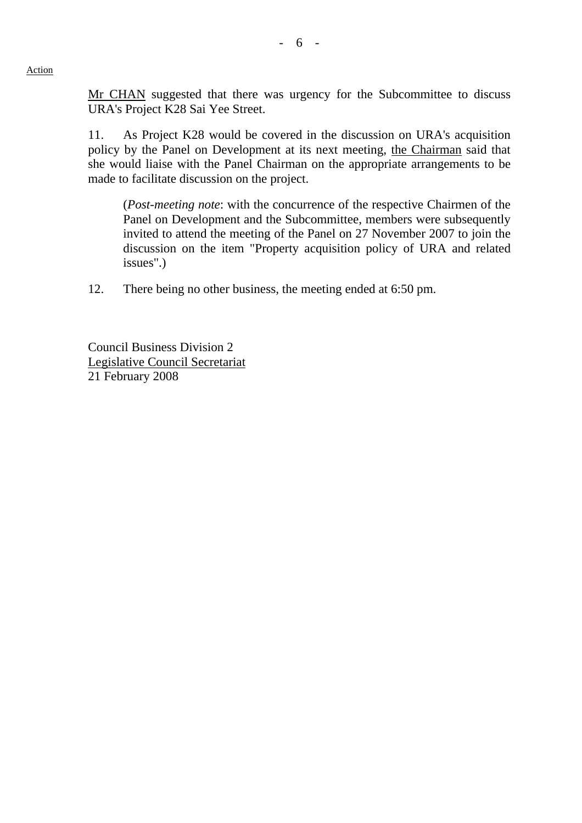Mr CHAN suggested that there was urgency for the Subcommittee to discuss URA's Project K28 Sai Yee Street.

11. As Project K28 would be covered in the discussion on URA's acquisition policy by the Panel on Development at its next meeting, the Chairman said that she would liaise with the Panel Chairman on the appropriate arrangements to be made to facilitate discussion on the project.

(*Post-meeting note*: with the concurrence of the respective Chairmen of the Panel on Development and the Subcommittee, members were subsequently invited to attend the meeting of the Panel on 27 November 2007 to join the discussion on the item "Property acquisition policy of URA and related issues".)

12. There being no other business, the meeting ended at 6:50 pm.

Council Business Division 2 Legislative Council Secretariat 21 February 2008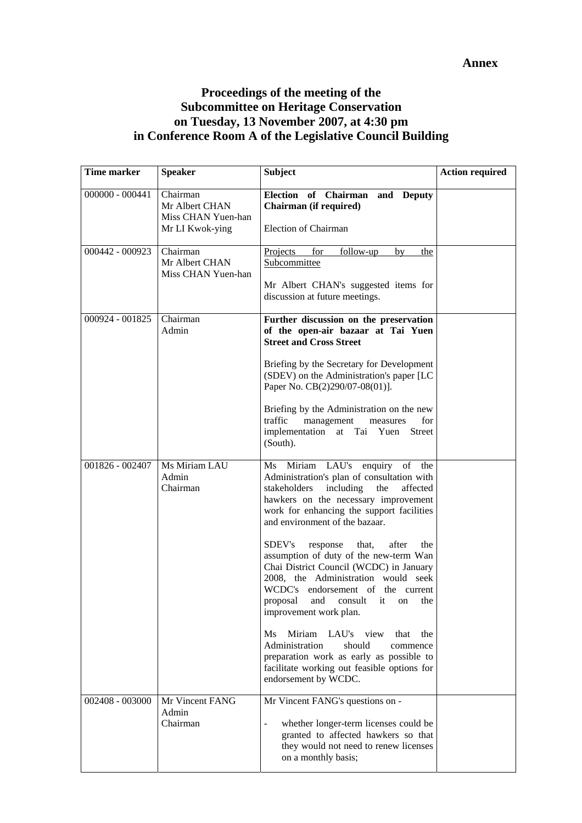## **Proceedings of the meeting of the Subcommittee on Heritage Conservation on Tuesday, 13 November 2007, at 4:30 pm in Conference Room A of the Legislative Council Building**

| Time marker       | <b>Speaker</b>                                                      | Subject                                                                                                                                                                                                                                                                                                                                                                                    | <b>Action required</b> |
|-------------------|---------------------------------------------------------------------|--------------------------------------------------------------------------------------------------------------------------------------------------------------------------------------------------------------------------------------------------------------------------------------------------------------------------------------------------------------------------------------------|------------------------|
| $000000 - 000441$ | Chairman<br>Mr Albert CHAN<br>Miss CHAN Yuen-han<br>Mr LI Kwok-ying | Election of Chairman and Deputy<br>Chairman (if required)<br><b>Election of Chairman</b>                                                                                                                                                                                                                                                                                                   |                        |
| 000442 - 000923   | Chairman<br>Mr Albert CHAN<br>Miss CHAN Yuen-han                    | for<br>follow-up<br>Projects<br>by<br>the<br>Subcommittee<br>Mr Albert CHAN's suggested items for<br>discussion at future meetings.                                                                                                                                                                                                                                                        |                        |
| 000924 - 001825   | Chairman<br>Admin                                                   | Further discussion on the preservation<br>of the open-air bazaar at Tai Yuen<br><b>Street and Cross Street</b><br>Briefing by the Secretary for Development<br>(SDEV) on the Administration's paper [LC<br>Paper No. CB(2)290/07-08(01)].<br>Briefing by the Administration on the new<br>traffic<br>management<br>for<br>measures<br>implementation at Tai Yuen<br><b>Street</b>          |                        |
| 001826 - 002407   | Ms Miriam LAU<br>Admin<br>Chairman                                  | (South).<br>Ms Miriam LAU's enquiry of<br>the<br>Administration's plan of consultation with<br>stakeholders<br>including<br>the<br>affected<br>hawkers on the necessary improvement<br>work for enhancing the support facilities<br>and environment of the bazaar.<br>SDEV's<br>after<br>response<br>that,<br>the<br>assumption of duty of the new-term Wan                                |                        |
|                   |                                                                     | Chai District Council (WCDC) in January<br>2008, the Administration would seek<br>WCDC's endorsement of the current<br>proposal and consult it on the<br>improvement work plan.<br>Ms<br>Miriam<br>LAU's<br>view<br>that<br>the<br>Administration<br>should<br>commence<br>preparation work as early as possible to<br>facilitate working out feasible options for<br>endorsement by WCDC. |                        |
| 002408 - 003000   | Mr Vincent FANG<br>Admin<br>Chairman                                | Mr Vincent FANG's questions on -<br>whether longer-term licenses could be<br>$\blacksquare$<br>granted to affected hawkers so that<br>they would not need to renew licenses<br>on a monthly basis;                                                                                                                                                                                         |                        |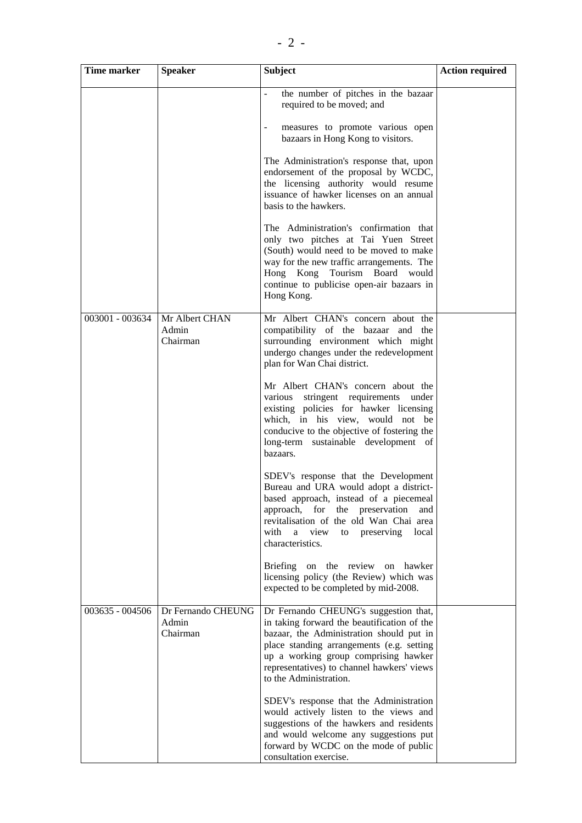| <b>Time marker</b> | <b>Speaker</b>                          | <b>Subject</b>                                                                                                                                                                                                                                                                                                                                                                                                                                                                                                                                                                                                                                                                                                                                                                                                           | <b>Action required</b> |
|--------------------|-----------------------------------------|--------------------------------------------------------------------------------------------------------------------------------------------------------------------------------------------------------------------------------------------------------------------------------------------------------------------------------------------------------------------------------------------------------------------------------------------------------------------------------------------------------------------------------------------------------------------------------------------------------------------------------------------------------------------------------------------------------------------------------------------------------------------------------------------------------------------------|------------------------|
|                    |                                         | the number of pitches in the bazaar<br>÷,<br>required to be moved; and<br>measures to promote various open<br>$\sim$<br>bazaars in Hong Kong to visitors.<br>The Administration's response that, upon<br>endorsement of the proposal by WCDC,<br>the licensing authority would resume<br>issuance of hawker licenses on an annual<br>basis to the hawkers.<br>The Administration's confirmation that<br>only two pitches at Tai Yuen Street<br>(South) would need to be moved to make<br>way for the new traffic arrangements. The<br>Hong Kong Tourism Board would<br>continue to publicise open-air bazaars in<br>Hong Kong.                                                                                                                                                                                           |                        |
| 003001 - 003634    | Mr Albert CHAN<br>Admin<br>Chairman     | Mr Albert CHAN's concern about the<br>compatibility of the bazaar and the<br>surrounding environment which might<br>undergo changes under the redevelopment<br>plan for Wan Chai district.<br>Mr Albert CHAN's concern about the<br>various stringent requirements under<br>existing policies for hawker licensing<br>which, in his view, would not be<br>conducive to the objective of fostering the<br>long-term sustainable development of<br>bazaars.<br>SDEV's response that the Development<br>Bureau and URA would adopt a district-<br>based approach, instead of a piecemeal<br>approach, for the preservation<br>and<br>revitalisation of the old Wan Chai area<br>with<br>a view<br>to preserving<br>local<br>characteristics.<br>Briefing on the review on hawker<br>licensing policy (the Review) which was |                        |
| 003635 - 004506    | Dr Fernando CHEUNG<br>Admin<br>Chairman | expected to be completed by mid-2008.<br>Dr Fernando CHEUNG's suggestion that,<br>in taking forward the beautification of the<br>bazaar, the Administration should put in<br>place standing arrangements (e.g. setting<br>up a working group comprising hawker<br>representatives) to channel hawkers' views<br>to the Administration.<br>SDEV's response that the Administration<br>would actively listen to the views and<br>suggestions of the hawkers and residents<br>and would welcome any suggestions put<br>forward by WCDC on the mode of public<br>consultation exercise.                                                                                                                                                                                                                                      |                        |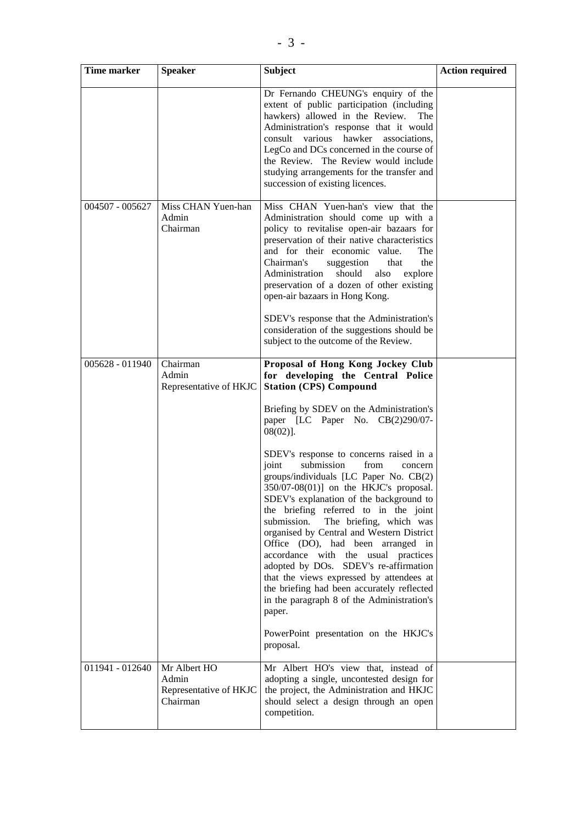| Time marker     | <b>Speaker</b>                                              | Subject                                                                                                                                                                                                                                                                                                                                                                                                                                                                                                                                                                                                                                                                          | <b>Action required</b> |
|-----------------|-------------------------------------------------------------|----------------------------------------------------------------------------------------------------------------------------------------------------------------------------------------------------------------------------------------------------------------------------------------------------------------------------------------------------------------------------------------------------------------------------------------------------------------------------------------------------------------------------------------------------------------------------------------------------------------------------------------------------------------------------------|------------------------|
|                 |                                                             | Dr Fernando CHEUNG's enquiry of the<br>extent of public participation (including<br>hawkers) allowed in the Review.<br>The<br>Administration's response that it would<br>consult various hawker associations,<br>LegCo and DCs concerned in the course of<br>the Review. The Review would include<br>studying arrangements for the transfer and<br>succession of existing licences.                                                                                                                                                                                                                                                                                              |                        |
| 004507 - 005627 | Miss CHAN Yuen-han<br>Admin<br>Chairman                     | Miss CHAN Yuen-han's view that the<br>Administration should come up with a<br>policy to revitalise open-air bazaars for<br>preservation of their native characteristics<br>and for their economic value.<br>The<br>Chairman's<br>suggestion<br>that<br>the<br>Administration<br>should<br>also<br>explore<br>preservation of a dozen of other existing<br>open-air bazaars in Hong Kong.<br>SDEV's response that the Administration's<br>consideration of the suggestions should be<br>subject to the outcome of the Review.                                                                                                                                                     |                        |
| 005628 - 011940 | Chairman<br>Admin<br>Representative of HKJC                 | Proposal of Hong Kong Jockey Club<br>for developing the Central Police<br><b>Station (CPS) Compound</b>                                                                                                                                                                                                                                                                                                                                                                                                                                                                                                                                                                          |                        |
|                 |                                                             | Briefing by SDEV on the Administration's<br>paper [LC Paper No. CB(2)290/07-<br>$08(02)$ ].                                                                                                                                                                                                                                                                                                                                                                                                                                                                                                                                                                                      |                        |
|                 |                                                             | SDEV's response to concerns raised in a<br>joint<br>submission<br>from<br>concern<br>groups/individuals [LC Paper No. CB(2)<br>$350/07-08(01)$ ] on the HKJC's proposal.<br>SDEV's explanation of the background to<br>the briefing referred to in the joint<br>The briefing, which was<br>submission.<br>organised by Central and Western District<br>Office (DO), had been arranged in<br>accordance with the usual practices<br>adopted by DOs. SDEV's re-affirmation<br>that the views expressed by attendees at<br>the briefing had been accurately reflected<br>in the paragraph 8 of the Administration's<br>paper.<br>PowerPoint presentation on the HKJC's<br>proposal. |                        |
| 011941 - 012640 | Mr Albert HO<br>Admin<br>Representative of HKJC<br>Chairman | Mr Albert HO's view that, instead of<br>adopting a single, uncontested design for<br>the project, the Administration and HKJC<br>should select a design through an open<br>competition.                                                                                                                                                                                                                                                                                                                                                                                                                                                                                          |                        |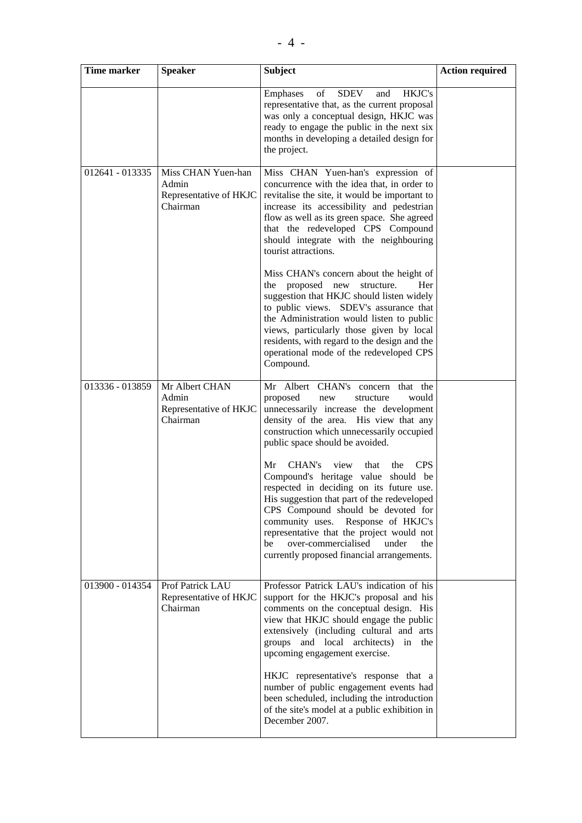| <b>Time marker</b> | <b>Speaker</b>                                                    | <b>Subject</b>                                                                                                                                                                                                                                                                                                                                                                                          | <b>Action required</b> |
|--------------------|-------------------------------------------------------------------|---------------------------------------------------------------------------------------------------------------------------------------------------------------------------------------------------------------------------------------------------------------------------------------------------------------------------------------------------------------------------------------------------------|------------------------|
|                    |                                                                   | of<br><b>SDEV</b><br>HKJC's<br>and<br>Emphases<br>representative that, as the current proposal<br>was only a conceptual design, HKJC was<br>ready to engage the public in the next six<br>months in developing a detailed design for<br>the project.                                                                                                                                                    |                        |
| 012641 - 013335    | Miss CHAN Yuen-han<br>Admin<br>Representative of HKJC<br>Chairman | Miss CHAN Yuen-han's expression of<br>concurrence with the idea that, in order to<br>revitalise the site, it would be important to<br>increase its accessibility and pedestrian<br>flow as well as its green space. She agreed<br>that the redeveloped CPS Compound<br>should integrate with the neighbouring<br>tourist attractions.                                                                   |                        |
|                    |                                                                   | Miss CHAN's concern about the height of<br>proposed new<br>structure.<br>the<br>Her<br>suggestion that HKJC should listen widely<br>to public views. SDEV's assurance that<br>the Administration would listen to public<br>views, particularly those given by local<br>residents, with regard to the design and the<br>operational mode of the redeveloped CPS<br>Compound.                             |                        |
| 013336 - 013859    | Mr Albert CHAN<br>Admin<br>Representative of HKJC<br>Chairman     | Mr Albert CHAN's concern that the<br>proposed<br>would<br>structure<br>new<br>unnecessarily increase the development<br>density of the area. His view that any<br>construction which unnecessarily occupied<br>public space should be avoided.                                                                                                                                                          |                        |
|                    |                                                                   | CHAN's<br><b>CPS</b><br>Mr<br>view<br>that<br>the<br>Compound's heritage value should be<br>respected in deciding on its future use.<br>His suggestion that part of the redeveloped<br>CPS Compound should be devoted for<br>community uses. Response of HKJC's<br>representative that the project would not<br>over-commercialised<br>be<br>under<br>the<br>currently proposed financial arrangements. |                        |
| 013900 - 014354    | Prof Patrick LAU<br>Representative of HKJC<br>Chairman            | Professor Patrick LAU's indication of his<br>support for the HKJC's proposal and his<br>comments on the conceptual design. His<br>view that HKJC should engage the public<br>extensively (including cultural and arts<br>groups and local architects) in the<br>upcoming engagement exercise.                                                                                                           |                        |
|                    |                                                                   | HKJC representative's response that a<br>number of public engagement events had<br>been scheduled, including the introduction<br>of the site's model at a public exhibition in<br>December 2007.                                                                                                                                                                                                        |                        |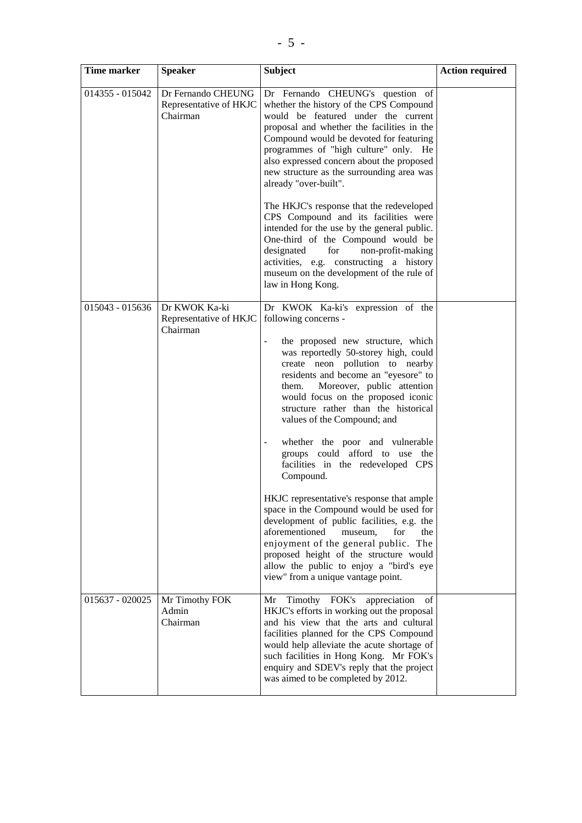| Time marker       | <b>Speaker</b>                                           | <b>Subject</b>                                                                                                                                                                                                                                                                                                                                                                                                                                                                                                                                                                                                                                                                                                                                                                                                                                                           | <b>Action required</b> |
|-------------------|----------------------------------------------------------|--------------------------------------------------------------------------------------------------------------------------------------------------------------------------------------------------------------------------------------------------------------------------------------------------------------------------------------------------------------------------------------------------------------------------------------------------------------------------------------------------------------------------------------------------------------------------------------------------------------------------------------------------------------------------------------------------------------------------------------------------------------------------------------------------------------------------------------------------------------------------|------------------------|
| 014355 - 015042   | Dr Fernando CHEUNG<br>Representative of HKJC<br>Chairman | Dr Fernando CHEUNG's question of<br>whether the history of the CPS Compound<br>would be featured under the current<br>proposal and whether the facilities in the<br>Compound would be devoted for featuring<br>programmes of "high culture" only. He<br>also expressed concern about the proposed<br>new structure as the surrounding area was<br>already "over-built".                                                                                                                                                                                                                                                                                                                                                                                                                                                                                                  |                        |
|                   |                                                          | The HKJC's response that the redeveloped<br>CPS Compound and its facilities were<br>intended for the use by the general public.<br>One-third of the Compound would be<br>designated<br>non-profit-making<br>for<br>activities, e.g. constructing a history<br>museum on the development of the rule of<br>law in Hong Kong.                                                                                                                                                                                                                                                                                                                                                                                                                                                                                                                                              |                        |
| $015043 - 015636$ | Dr KWOK Ka-ki<br>Representative of HKJC<br>Chairman      | Dr KWOK Ka-ki's expression of the<br>following concerns -<br>the proposed new structure, which<br>÷,<br>was reportedly 50-storey high, could<br>create neon pollution to nearby<br>residents and become an "eyesore" to<br>Moreover, public attention<br>them.<br>would focus on the proposed iconic<br>structure rather than the historical<br>values of the Compound; and<br>whether the poor and vulnerable<br>$\blacksquare$<br>groups could afford to use the<br>facilities in the redeveloped CPS<br>Compound.<br>HKJC representative's response that ample<br>space in the Compound would be used for<br>development of public facilities, e.g. the<br>aforementioned<br>museum,<br>for<br>the<br>enjoyment of the general public. The<br>proposed height of the structure would<br>allow the public to enjoy a "bird's eye<br>view" from a unique vantage point. |                        |
| 015637 - 020025   | Mr Timothy FOK<br>Admin<br>Chairman                      | Mr Timothy FOK's appreciation<br>of<br>HKJC's efforts in working out the proposal<br>and his view that the arts and cultural<br>facilities planned for the CPS Compound<br>would help alleviate the acute shortage of<br>such facilities in Hong Kong. Mr FOK's<br>enquiry and SDEV's reply that the project<br>was aimed to be completed by 2012.                                                                                                                                                                                                                                                                                                                                                                                                                                                                                                                       |                        |